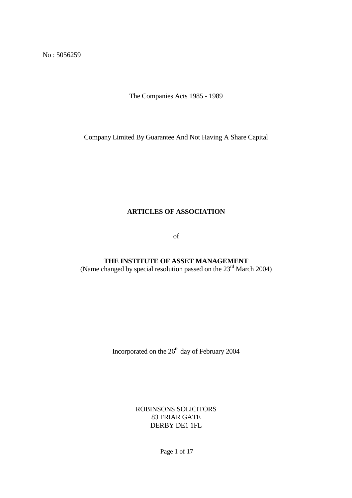No : 5056259

The Companies Acts 1985 - 1989

Company Limited By Guarantee And Not Having A Share Capital

#### **ARTICLES OF ASSOCIATION**

of

**THE INSTITUTE OF ASSET MANAGEMENT** (Name changed by special resolution passed on the  $23<sup>rd</sup>$  March 2004)

Incorporated on the  $26<sup>th</sup>$  day of February 2004

ROBINSONS SOLICITORS 83 FRIAR GATE DERBY DE1 1FL

Page 1 of 17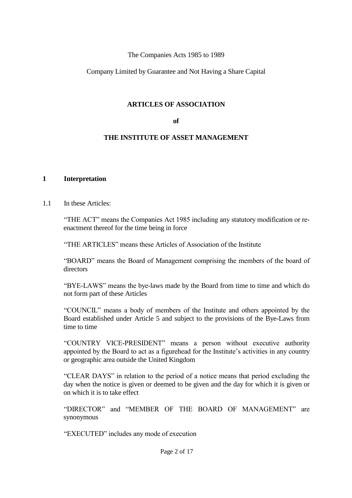#### The Companies Acts 1985 to 1989

#### Company Limited by Guarantee and Not Having a Share Capital

#### **ARTICLES OF ASSOCIATION**

#### **of**

#### **THE INSTITUTE OF ASSET MANAGEMENT**

#### **1 Interpretation**

#### 1.1 In these Articles:

"THE ACT" means the Companies Act 1985 including any statutory modification or reenactment thereof for the time being in force

"THE ARTICLES" means these Articles of Association of the Institute

"BOARD" means the Board of Management comprising the members of the board of directors

"BYE-LAWS" means the bye-laws made by the Board from time to time and which do not form part of these Articles

"COUNCIL" means a body of members of the Institute and others appointed by the Board established under Article 5 and subject to the provisions of the Bye-Laws from time to time

"COUNTRY VICE-PRESIDENT" means a person without executive authority appointed by the Board to act as a figurehead for the Institute's activities in any country or geographic area outside the United Kingdom

"CLEAR DAYS" in relation to the period of a notice means that period excluding the day when the notice is given or deemed to be given and the day for which it is given or on which it is to take effect

"DIRECTOR" and "MEMBER OF THE BOARD OF MANAGEMENT" are synonymous

"EXECUTED" includes any mode of execution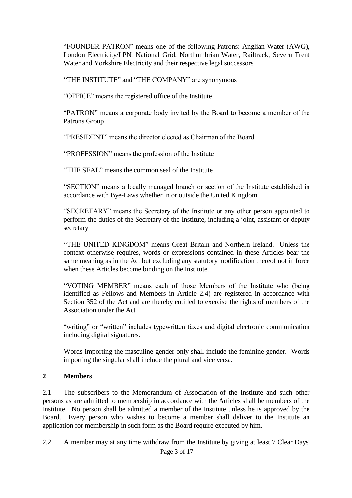"FOUNDER PATRON" means one of the following Patrons: Anglian Water (AWG), London Electricity/LPN, National Grid, Northumbrian Water, Railtrack, Severn Trent Water and Yorkshire Electricity and their respective legal successors

"THE INSTITUTE" and "THE COMPANY" are synonymous

"OFFICE" means the registered office of the Institute

"PATRON" means a corporate body invited by the Board to become a member of the Patrons Group

"PRESIDENT" means the director elected as Chairman of the Board

"PROFESSION" means the profession of the Institute

"THESEAL"means the common seal of the Institute

"SECTION" means a locally managed branch or section of the Institute established in accordance with Bye-Laws whether in or outside the United Kingdom

"SECRETARY" means the Secretary of the Institute or any other person appointed to perform the duties of the Secretary of the Institute, including a joint, assistant or deputy secretary

"THE UNITED KINGDOM" means Great Britain and Northern Ireland Unless the context otherwise requires, words or expressions contained in these Articles bear the same meaning as in the Act but excluding any statutory modification thereof not in force when these Articles become binding on the Institute.

"VOTING MEMBER" means each of those Members of the Institute who (being identified as Fellows and Members in Article 2.4) are registered in accordance with Section 352 of the Act and are thereby entitled to exercise the rights of members of the Association under the Act

"writing" or "written" includes typewritten faxes and digital electronic communication including digital signatures.

Words importing the masculine gender only shall include the feminine gender. Words importing the singular shall include the plural and vice versa.

#### **2 Members**

2.1 The subscribers to the Memorandum of Association of the Institute and such other persons as are admitted to membership in accordance with the Articles shall be members of the Institute. No person shall be admitted a member of the Institute unless he is approved by the Board. Every person who wishes to become a member shall deliver to the Institute an application for membership in such form as the Board require executed by him.

2.2 A member may at any time withdraw from the Institute by giving at least 7 Clear Days'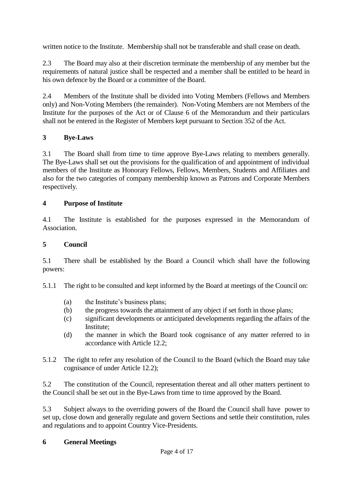written notice to the Institute. Membership shall not be transferable and shall cease on death.

2.3 The Board may also at their discretion terminate the membership of any member but the requirements of natural justice shall be respected and a member shall be entitled to be heard in his own defence by the Board or a committee of the Board.

2.4 Members of the Institute shall be divided into Voting Members (Fellows and Members only) and Non-Voting Members (the remainder). Non-Voting Members are not Members of the Institute for the purposes of the Act or of Clause 6 of the Memorandum and their particulars shall not be entered in the Register of Members kept pursuant to Section 352 of the Act.

# **3 Bye-Laws**

3.1 The Board shall from time to time approve Bye-Laws relating to members generally. The Bye-Laws shall set out the provisions for the qualification of and appointment of individual members of the Institute as Honorary Fellows, Fellows, Members, Students and Affiliates and also for the two categories of company membership known as Patrons and Corporate Members respectively.

# **4 Purpose of Institute**

4.1 The Institute is established for the purposes expressed in the Memorandum of Association.

# **5 Council**

5.1 There shall be established by the Board a Council which shall have the following powers:

5.1.1 The right to be consulted and kept informed by the Board at meetings of the Council on:

- (a) the Institute's business plans;
- (b) the progress towards the attainment of any object if set forth in those plans;
- (c) significant developments or anticipated developments regarding the affairs of the Institute;
- (d) the manner in which the Board took cognisance of any matter referred to in accordance with Article 12.2;
- 5.1.2 The right to refer any resolution of the Council to the Board (which the Board may take cognisance of under Article 12.2);

5.2 The constitution of the Council, representation thereat and all other matters pertinent to the Council shall be set out in the Bye-Laws from time to time approved by the Board.

5.3 Subject always to the overriding powers of the Board the Council shall have power to set up, close down and generally regulate and govern Sections and settle their constitution, rules and regulations and to appoint Country Vice-Presidents.

## **6 General Meetings**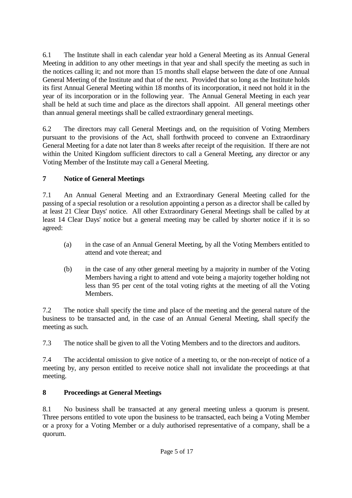6.1 The Institute shall in each calendar year hold a General Meeting as its Annual General Meeting in addition to any other meetings in that year and shall specify the meeting as such in the notices calling it; and not more than 15 months shall elapse between the date of one Annual General Meeting of the Institute and that of the next. Provided that so long as the Institute holds its first Annual General Meeting within 18 months of its incorporation, it need not hold it in the year of its incorporation or in the following year. The Annual General Meeting in each year shall be held at such time and place as the directors shall appoint. All general meetings other than annual general meetings shall be called extraordinary general meetings.

6.2 The directors may call General Meetings and, on the requisition of Voting Members pursuant to the provisions of the Act, shall forthwith proceed to convene an Extraordinary General Meeting for a date not later than 8 weeks after receipt of the requisition. If there are not within the United Kingdom sufficient directors to call a General Meeting, any director or any Voting Member of the Institute may call a General Meeting.

# **7 Notice of General Meetings**

7.1 An Annual General Meeting and an Extraordinary General Meeting called for the passing of a special resolution or a resolution appointing a person as a director shall be called by at least 21 Clear Days' notice. All other Extraordinary General Meetings shall be called by at least 14 Clear Days' notice but a general meeting may be called by shorter notice if it is so agreed:

- (a) in the case of an Annual General Meeting, by all the Voting Members entitled to attend and vote thereat; and
- (b) in the case of any other general meeting by a majority in number of the Voting Members having a right to attend and vote being a majority together holding not less than 95 per cent of the total voting rights at the meeting of all the Voting Members.

7.2 The notice shall specify the time and place of the meeting and the general nature of the business to be transacted and, in the case of an Annual General Meeting, shall specify the meeting as such.

7.3 The notice shall be given to all the Voting Members and to the directors and auditors.

7.4 The accidental omission to give notice of a meeting to, or the non-receipt of notice of a meeting by, any person entitled to receive notice shall not invalidate the proceedings at that meeting.

# **8 Proceedings at General Meetings**

8.1 No business shall be transacted at any general meeting unless a quorum is present. Three persons entitled to vote upon the business to be transacted, each being a Voting Member or a proxy for a Voting Member or a duly authorised representative of a company, shall be a quorum.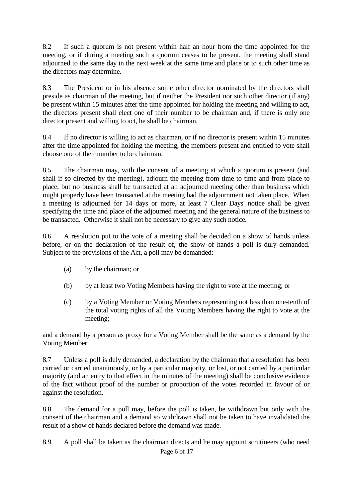8.2 If such a quorum is not present within half an hour from the time appointed for the meeting, or if during a meeting such a quorum ceases to be present, the meeting shall stand adjourned to the same day in the next week at the same time and place or to such other time as the directors may determine.

8.3 The President or in his absence some other director nominated by the directors shall preside as chairman of the meeting, but if neither the President nor such other director (if any) be present within 15 minutes after the time appointed for holding the meeting and willing to act, the directors present shall elect one of their number to be chairman and, if there is only one director present and willing to act, he shall be chairman.

8.4 If no director is willing to act as chairman, or if no director is present within 15 minutes after the time appointed for holding the meeting, the members present and entitled to vote shall choose one of their number to be chairman.

8.5 The chairman may, with the consent of a meeting at which a quorum is present (and shall if so directed by the meeting), adjourn the meeting from time to time and from place to place, but no business shall be transacted at an adjourned meeting other than business which might properly have been transacted at the meeting had the adjournment not taken place. When a meeting is adjourned for 14 days or more, at least 7 Clear Days' notice shall be given specifying the time and place of the adjourned meeting and the general nature of the business to be transacted. Otherwise it shall not be necessary to give any such notice.

8.6 A resolution put to the vote of a meeting shall be decided on a show of hands unless before, or on the declaration of the result of, the show of hands a poll is duly demanded. Subject to the provisions of the Act, a poll may be demanded:

- (a) by the chairman; or
- (b) by at least two Voting Members having the right to vote at the meeting; or
- (c) by a Voting Member or Voting Members representing not less than one-tenth of the total voting rights of all the Voting Members having the right to vote at the meeting;

and a demand by a person as proxy for a Voting Member shall be the same as a demand by the Voting Member.

8.7 Unless a poll is duly demanded, a declaration by the chairman that a resolution has been carried or carried unanimously, or by a particular majority, or lost, or not carried by a particular majority (and an entry to that effect in the minutes of the meeting) shall be conclusive evidence of the fact without proof of the number or proportion of the votes recorded in favour of or against the resolution.

8.8 The demand for a poll may, before the poll is taken, be withdrawn but only with the consent of the chairman and a demand so withdrawn shall not be taken to have invalidated the result of a show of hands declared before the demand was made.

8.9 A poll shall be taken as the chairman directs and he may appoint scrutineers (who need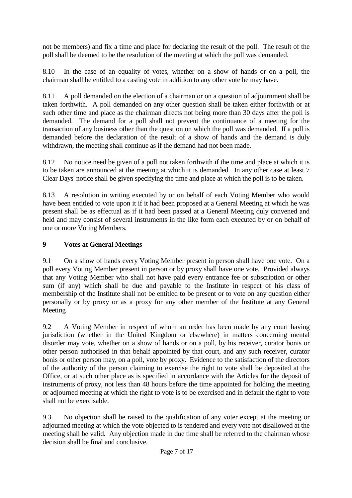not be members) and fix a time and place for declaring the result of the poll. The result of the poll shall be deemed to be the resolution of the meeting at which the poll was demanded.

8.10 In the case of an equality of votes, whether on a show of hands or on a poll, the chairman shall be entitled to a casting vote in addition to any other vote he may have.

8.11 A poll demanded on the election of a chairman or on a question of adjournment shall be taken forthwith. A poll demanded on any other question shall be taken either forthwith or at such other time and place as the chairman directs not being more than 30 days after the poll is demanded. The demand for a poll shall not prevent the continuance of a meeting for the transaction of any business other than the question on which the poll was demanded. If a poll is demanded before the declaration of the result of a show of hands and the demand is duly withdrawn, the meeting shall continue as if the demand had not been made.

8.12 No notice need be given of a poll not taken forthwith if the time and place at which it is to be taken are announced at the meeting at which it is demanded. In any other case at least 7 Clear Days' notice shall be given specifying the time and place at which the poll is to be taken.

8.13 A resolution in writing executed by or on behalf of each Voting Member who would have been entitled to vote upon it if it had been proposed at a General Meeting at which he was present shall be as effectual as if it had been passed at a General Meeting duly convened and held and may consist of several instruments in the like form each executed by or on behalf of one or more Voting Members.

## **9 Votes at General Meetings**

9.1 On a show of hands every Voting Member present in person shall have one vote. On a poll every Voting Member present in person or by proxy shall have one vote. Provided always that any Voting Member who shall not have paid every entrance fee or subscription or other sum (if any) which shall be due and payable to the Institute in respect of his class of membership of the Institute shall not be entitled to be present or to vote on any question either personally or by proxy or as a proxy for any other member of the Institute at any General Meeting

9.2 A Voting Member in respect of whom an order has been made by any court having jurisdiction (whether in the United Kingdom or elsewhere) in matters concerning mental disorder may vote, whether on a show of hands or on a poll, by his receiver, curator bonis or other person authorised in that behalf appointed by that court, and any such receiver, curator bonis or other person may, on a poll, vote by proxy. Evidence to the satisfaction of the directors of the authority of the person claiming to exercise the right to vote shall be deposited at the Office, or at such other place as is specified in accordance with the Articles for the deposit of instruments of proxy, not less than 48 hours before the time appointed for holding the meeting or adjourned meeting at which the right to vote is to be exercised and in default the right to vote shall not be exercisable.

9.3 No objection shall be raised to the qualification of any voter except at the meeting or adjourned meeting at which the vote objected to is tendered and every vote not disallowed at the meeting shall be valid. Any objection made in due time shall be referred to the chairman whose decision shall be final and conclusive.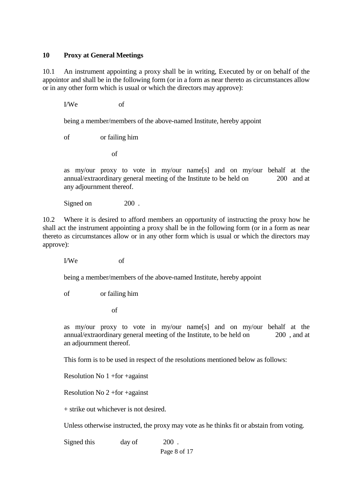#### **10 Proxy at General Meetings**

10.1 An instrument appointing a proxy shall be in writing, Executed by or on behalf of the appointor and shall be in the following form (or in a form as near thereto as circumstances allow or in any other form which is usual or which the directors may approve):

I/We of

being a member/members of the above-named Institute, hereby appoint

of or failing him

of

as my/our proxy to vote in my/our name[s] and on my/our behalf at the annual/extraordinary general meeting of the Institute to be held on 200 and at any adjournment thereof.

Signed on 200.

10.2 Where it is desired to afford members an opportunity of instructing the proxy how he shall act the instrument appointing a proxy shall be in the following form (or in a form as near thereto as circumstances allow or in any other form which is usual or which the directors may approve):

I/We of

being a member/members of the above-named Institute, hereby appoint

of or failing him

of

as my/our proxy to vote in my/our name[s] and on my/our behalf at the annual/extraordinary general meeting of the Institute, to be held on 200 , and at an adjournment thereof.

This form is to be used in respect of the resolutions mentioned below as follows:

Resolution No 1 +for +against

Resolution No 2 +for +against

+ strike out whichever is not desired.

Unless otherwise instructed, the proxy may vote as he thinks fit or abstain from voting.

Signed this day of 200.

Page 8 of 17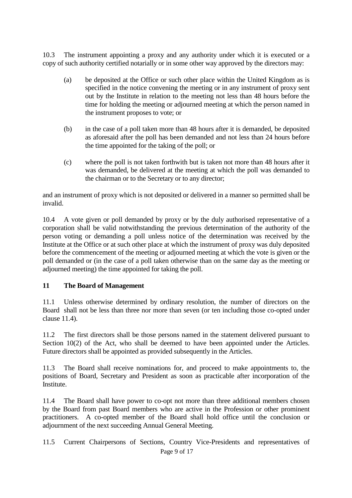10.3 The instrument appointing a proxy and any authority under which it is executed or a copy of such authority certified notarially or in some other way approved by the directors may:

- (a) be deposited at the Office or such other place within the United Kingdom as is specified in the notice convening the meeting or in any instrument of proxy sent out by the Institute in relation to the meeting not less than 48 hours before the time for holding the meeting or adjourned meeting at which the person named in the instrument proposes to vote; or
- (b) in the case of a poll taken more than 48 hours after it is demanded, be deposited as aforesaid after the poll has been demanded and not less than 24 hours before the time appointed for the taking of the poll; or
- (c) where the poll is not taken forthwith but is taken not more than 48 hours after it was demanded, be delivered at the meeting at which the poll was demanded to the chairman or to the Secretary or to any director;

and an instrument of proxy which is not deposited or delivered in a manner so permitted shall be invalid.

10.4 A vote given or poll demanded by proxy or by the duly authorised representative of a corporation shall be valid notwithstanding the previous determination of the authority of the person voting or demanding a poll unless notice of the determination was received by the Institute at the Office or at such other place at which the instrument of proxy was duly deposited before the commencement of the meeting or adjourned meeting at which the vote is given or the poll demanded or (in the case of a poll taken otherwise than on the same day as the meeting or adjourned meeting) the time appointed for taking the poll.

## **11 The Board of Management**

11.1 Unless otherwise determined by ordinary resolution, the number of directors on the Board shall not be less than three nor more than seven (or ten including those co-opted under clause 11.4).

11.2 The first directors shall be those persons named in the statement delivered pursuant to Section 10(2) of the Act, who shall be deemed to have been appointed under the Articles. Future directors shall be appointed as provided subsequently in the Articles.

11.3 The Board shall receive nominations for, and proceed to make appointments to, the positions of Board, Secretary and President as soon as practicable after incorporation of the **Institute** 

11.4 The Board shall have power to co-opt not more than three additional members chosen by the Board from past Board members who are active in the Profession or other prominent practitioners. A co-opted member of the Board shall hold office until the conclusion or adjournment of the next succeeding Annual General Meeting.

11.5 Current Chairpersons of Sections, Country Vice-Presidents and representatives of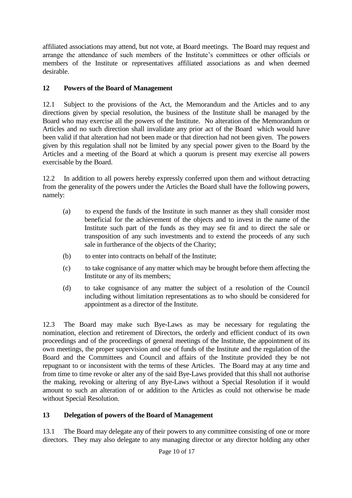affiliated associations may attend, but not vote, at Board meetings. The Board may request and arrange the attendance of such members of the Institute's committees or other officials or members of the Institute or representatives affiliated associations as and when deemed desirable.

# **12 Powers of the Board of Management**

12.1 Subject to the provisions of the Act, the Memorandum and the Articles and to any directions given by special resolution, the business of the Institute shall be managed by the Board who may exercise all the powers of the Institute. No alteration of the Memorandum or Articles and no such direction shall invalidate any prior act of the Board which would have been valid if that alteration had not been made or that direction had not been given. The powers given by this regulation shall not be limited by any special power given to the Board by the Articles and a meeting of the Board at which a quorum is present may exercise all powers exercisable by the Board.

12.2 In addition to all powers hereby expressly conferred upon them and without detracting from the generality of the powers under the Articles the Board shall have the following powers, namely:

- (a) to expend the funds of the Institute in such manner as they shall consider most beneficial for the achievement of the objects and to invest in the name of the Institute such part of the funds as they may see fit and to direct the sale or transposition of any such investments and to extend the proceeds of any such sale in furtherance of the objects of the Charity;
- (b) to enter into contracts on behalf of the Institute;
- (c) to take cognisance of any matter which may be brought before them affecting the Institute or any of its members;
- (d) to take cognisance of any matter the subject of a resolution of the Council including without limitation representations as to who should be considered for appointment as a director of the Institute.

12.3 The Board may make such Bye-Laws as may be necessary for regulating the nomination, election and retirement of Directors, the orderly and efficient conduct of its own proceedings and of the proceedings of general meetings of the Institute, the appointment of its own meetings, the proper supervision and use of funds of the Institute and the regulation of the Board and the Committees and Council and affairs of the Institute provided they be not repugnant to or inconsistent with the terms of these Articles. The Board may at any time and from time to time revoke or alter any of the said Bye-Laws provided that this shall not authorise the making, revoking or altering of any Bye-Laws without a Special Resolution if it would amount to such an alteration of or addition to the Articles as could not otherwise be made without Special Resolution.

# **13 Delegation of powers of the Board of Management**

13.1 The Board may delegate any of their powers to any committee consisting of one or more directors. They may also delegate to any managing director or any director holding any other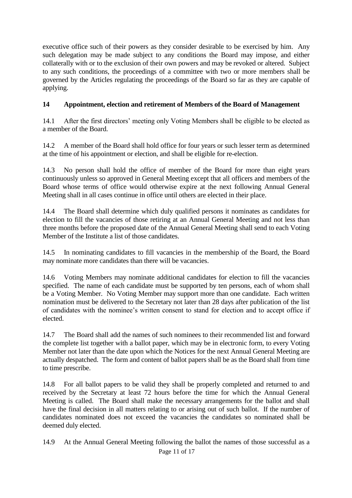executive office such of their powers as they consider desirable to be exercised by him. Any such delegation may be made subject to any conditions the Board may impose, and either collaterally with or to the exclusion of their own powers and may be revoked or altered. Subject to any such conditions, the proceedings of a committee with two or more members shall be governed by the Articles regulating the proceedings of the Board so far as they are capable of applying.

## **14 Appointment, election and retirement of Members of the Board of Management**

14.1 After the first directors' meeting only Voting Members shall be eligible to be elected as a member of the Board.

14.2 A member of the Board shall hold office for four years or such lesser term as determined at the time of his appointment or election, and shall be eligible for re-election.

14.3 No person shall hold the office of member of the Board for more than eight years continuously unless so approved in General Meeting except that all officers and members of the Board whose terms of office would otherwise expire at the next following Annual General Meeting shall in all cases continue in office until others are elected in their place.

14.4 The Board shall determine which duly qualified persons it nominates as candidates for election to fill the vacancies of those retiring at an Annual General Meeting and not less than three months before the proposed date of the Annual General Meeting shall send to each Voting Member of the Institute a list of those candidates.

14.5 In nominating candidates to fill vacancies in the membership of the Board, the Board may nominate more candidates than there will be vacancies.

14.6 Voting Members may nominate additional candidates for election to fill the vacancies specified. The name of each candidate must be supported by ten persons, each of whom shall be a Voting Member. No Voting Member may support more than one candidate. Each written nomination must be delivered to the Secretary not later than 28 days after publication of the list of candidates with the nominee's written consent to stand for election and to accept office if elected.

14.7 The Board shall add the names of such nominees to their recommended list and forward the complete list together with a ballot paper, which may be in electronic form, to every Voting Member not later than the date upon which the Notices for the next Annual General Meeting are actually despatched. The form and content of ballot papers shall be as the Board shall from time to time prescribe.

14.8 For all ballot papers to be valid they shall be properly completed and returned to and received by the Secretary at least 72 hours before the time for which the Annual General Meeting is called. The Board shall make the necessary arrangements for the ballot and shall have the final decision in all matters relating to or arising out of such ballot. If the number of candidates nominated does not exceed the vacancies the candidates so nominated shall be deemed duly elected.

14.9 At the Annual General Meeting following the ballot the names of those successful as a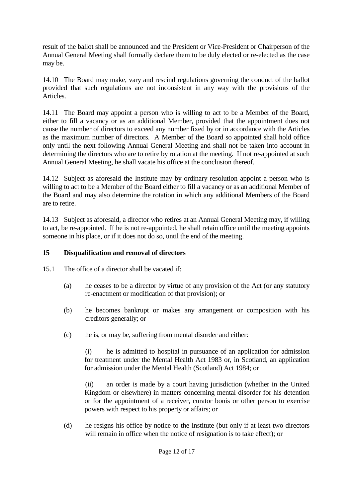result of the ballot shall be announced and the President or Vice-President or Chairperson of the Annual General Meeting shall formally declare them to be duly elected or re-elected as the case may be.

14.10 The Board may make, vary and rescind regulations governing the conduct of the ballot provided that such regulations are not inconsistent in any way with the provisions of the Articles.

14.11 The Board may appoint a person who is willing to act to be a Member of the Board, either to fill a vacancy or as an additional Member, provided that the appointment does not cause the number of directors to exceed any number fixed by or in accordance with the Articles as the maximum number of directors. A Member of the Board so appointed shall hold office only until the next following Annual General Meeting and shall not be taken into account in determining the directors who are to retire by rotation at the meeting. If not re-appointed at such Annual General Meeting, he shall vacate his office at the conclusion thereof.

14.12 Subject as aforesaid the Institute may by ordinary resolution appoint a person who is willing to act to be a Member of the Board either to fill a vacancy or as an additional Member of the Board and may also determine the rotation in which any additional Members of the Board are to retire.

14.13 Subject as aforesaid, a director who retires at an Annual General Meeting may, if willing to act, be re-appointed. If he is not re-appointed, he shall retain office until the meeting appoints someone in his place, or if it does not do so, until the end of the meeting.

## **15 Disqualification and removal of directors**

- 15.1 The office of a director shall be vacated if:
	- (a) he ceases to be a director by virtue of any provision of the Act (or any statutory re-enactment or modification of that provision); or
	- (b) he becomes bankrupt or makes any arrangement or composition with his creditors generally; or
	- (c) he is, or may be, suffering from mental disorder and either:

(i) he is admitted to hospital in pursuance of an application for admission for treatment under the Mental Health Act 1983 or, in Scotland, an application for admission under the Mental Health (Scotland) Act 1984; or

(ii) an order is made by a court having jurisdiction (whether in the United Kingdom or elsewhere) in matters concerning mental disorder for his detention or for the appointment of a receiver, curator bonis or other person to exercise powers with respect to his property or affairs; or

(d) he resigns his office by notice to the Institute (but only if at least two directors will remain in office when the notice of resignation is to take effect); or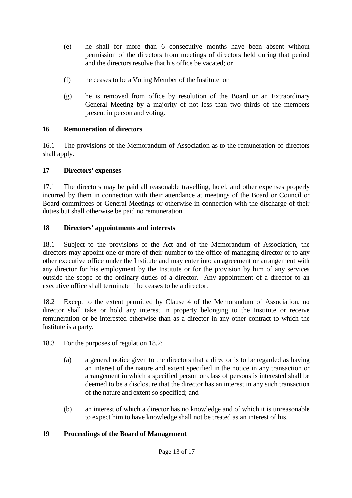- (e) he shall for more than 6 consecutive months have been absent without permission of the directors from meetings of directors held during that period and the directors resolve that his office be vacated; or
- (f) he ceases to be a Voting Member of the Institute; or
- (g) he is removed from office by resolution of the Board or an Extraordinary General Meeting by a majority of not less than two thirds of the members present in person and voting.

## **16 Remuneration of directors**

16.1 The provisions of the Memorandum of Association as to the remuneration of directors shall apply.

## **17 Directors' expenses**

17.1 The directors may be paid all reasonable travelling, hotel, and other expenses properly incurred by them in connection with their attendance at meetings of the Board or Council or Board committees or General Meetings or otherwise in connection with the discharge of their duties but shall otherwise be paid no remuneration.

## **18 Directors' appointments and interests**

18.1 Subject to the provisions of the Act and of the Memorandum of Association, the directors may appoint one or more of their number to the office of managing director or to any other executive office under the Institute and may enter into an agreement or arrangement with any director for his employment by the Institute or for the provision by him of any services outside the scope of the ordinary duties of a director. Any appointment of a director to an executive office shall terminate if he ceases to be a director.

18.2 Except to the extent permitted by Clause 4 of the Memorandum of Association, no director shall take or hold any interest in property belonging to the Institute or receive remuneration or be interested otherwise than as a director in any other contract to which the Institute is a party.

- 18.3 For the purposes of regulation 18.2:
	- (a) a general notice given to the directors that a director is to be regarded as having an interest of the nature and extent specified in the notice in any transaction or arrangement in which a specified person or class of persons is interested shall be deemed to be a disclosure that the director has an interest in any such transaction of the nature and extent so specified; and
	- (b) an interest of which a director has no knowledge and of which it is unreasonable to expect him to have knowledge shall not be treated as an interest of his.

# **19 Proceedings of the Board of Management**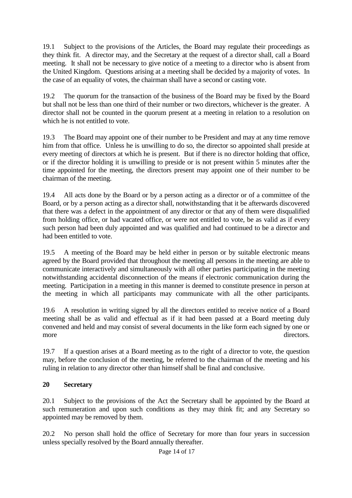19.1 Subject to the provisions of the Articles, the Board may regulate their proceedings as they think fit. A director may, and the Secretary at the request of a director shall, call a Board meeting. It shall not be necessary to give notice of a meeting to a director who is absent from the United Kingdom. Questions arising at a meeting shall be decided by a majority of votes. In the case of an equality of votes, the chairman shall have a second or casting vote.

19.2 The quorum for the transaction of the business of the Board may be fixed by the Board but shall not be less than one third of their number or two directors, whichever is the greater. A director shall not be counted in the quorum present at a meeting in relation to a resolution on which he is not entitled to vote.

19.3 The Board may appoint one of their number to be President and may at any time remove him from that office. Unless he is unwilling to do so, the director so appointed shall preside at every meeting of directors at which he is present. But if there is no director holding that office, or if the director holding it is unwilling to preside or is not present within 5 minutes after the time appointed for the meeting, the directors present may appoint one of their number to be chairman of the meeting.

19.4 All acts done by the Board or by a person acting as a director or of a committee of the Board, or by a person acting as a director shall, notwithstanding that it be afterwards discovered that there was a defect in the appointment of any director or that any of them were disqualified from holding office, or had vacated office, or were not entitled to vote, be as valid as if every such person had been duly appointed and was qualified and had continued to be a director and had been entitled to vote.

19.5 A meeting of the Board may be held either in person or by suitable electronic means agreed by the Board provided that throughout the meeting all persons in the meeting are able to communicate interactively and simultaneously with all other parties participating in the meeting notwithstanding accidental disconnection of the means if electronic communication during the meeting. Participation in a meeting in this manner is deemed to constitute presence in person at the meeting in which all participants may communicate with all the other participants.

19.6 A resolution in writing signed by all the directors entitled to receive notice of a Board meeting shall be as valid and effectual as if it had been passed at a Board meeting duly convened and held and may consist of several documents in the like form each signed by one or more directors.

19.7 If a question arises at a Board meeting as to the right of a director to vote, the question may, before the conclusion of the meeting, be referred to the chairman of the meeting and his ruling in relation to any director other than himself shall be final and conclusive.

## **20 Secretary**

20.1 Subject to the provisions of the Act the Secretary shall be appointed by the Board at such remuneration and upon such conditions as they may think fit; and any Secretary so appointed may be removed by them.

20.2 No person shall hold the office of Secretary for more than four years in succession unless specially resolved by the Board annually thereafter.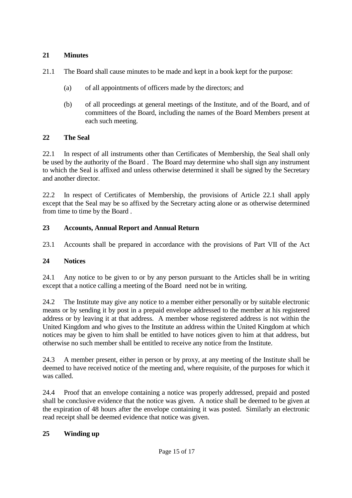## **21 Minutes**

- 21.1 The Board shall cause minutes to be made and kept in a book kept for the purpose:
	- (a) of all appointments of officers made by the directors; and
	- (b) of all proceedings at general meetings of the Institute, and of the Board, and of committees of the Board, including the names of the Board Members present at each such meeting.

#### **22 The Seal**

22.1 In respect of all instruments other than Certificates of Membership, the Seal shall only be used by the authority of the Board . The Board may determine who shall sign any instrument to which the Seal is affixed and unless otherwise determined it shall be signed by the Secretary and another director.

22.2 In respect of Certificates of Membership, the provisions of Article 22.1 shall apply except that the Seal may be so affixed by the Secretary acting alone or as otherwise determined from time to time by the Board .

## **23 Accounts, Annual Report and Annual Return**

23.1 Accounts shall be prepared in accordance with the provisions of Part VII of the Act

#### **24 Notices**

24.1 Any notice to be given to or by any person pursuant to the Articles shall be in writing except that a notice calling a meeting of the Board need not be in writing.

24.2 The Institute may give any notice to a member either personally or by suitable electronic means or by sending it by post in a prepaid envelope addressed to the member at his registered address or by leaving it at that address. A member whose registered address is not within the United Kingdom and who gives to the Institute an address within the United Kingdom at which notices may be given to him shall be entitled to have notices given to him at that address, but otherwise no such member shall be entitled to receive any notice from the Institute.

24.3 A member present, either in person or by proxy, at any meeting of the Institute shall be deemed to have received notice of the meeting and, where requisite, of the purposes for which it was called.

24.4 Proof that an envelope containing a notice was properly addressed, prepaid and posted shall be conclusive evidence that the notice was given. A notice shall be deemed to be given at the expiration of 48 hours after the envelope containing it was posted. Similarly an electronic read receipt shall be deemed evidence that notice was given.

## **25 Winding up**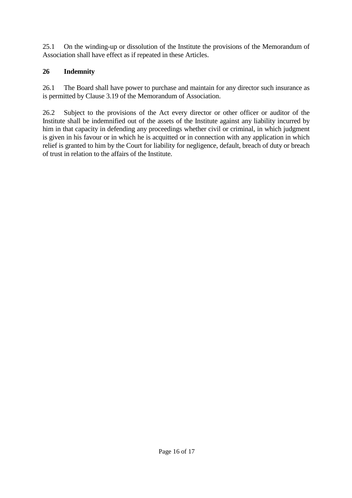25.1 On the winding-up or dissolution of the Institute the provisions of the Memorandum of Association shall have effect as if repeated in these Articles.

## **26 Indemnity**

26.1 The Board shall have power to purchase and maintain for any director such insurance as is permitted by Clause 3.19 of the Memorandum of Association.

26.2 Subject to the provisions of the Act every director or other officer or auditor of the Institute shall be indemnified out of the assets of the Institute against any liability incurred by him in that capacity in defending any proceedings whether civil or criminal, in which judgment is given in his favour or in which he is acquitted or in connection with any application in which relief is granted to him by the Court for liability for negligence, default, breach of duty or breach of trust in relation to the affairs of the Institute.